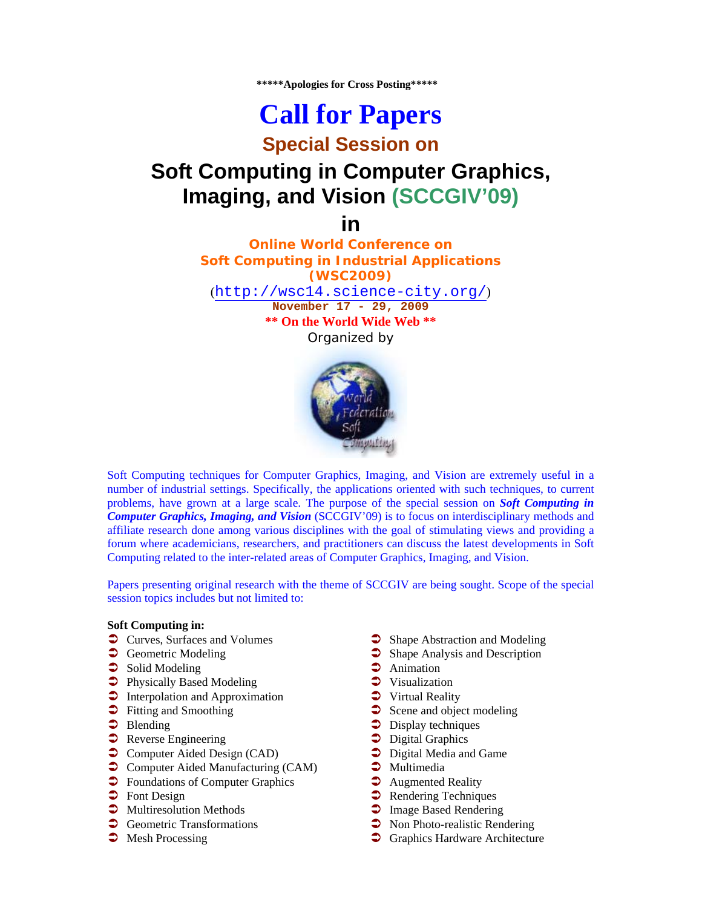**\*\*\*\*\*Apologies for Cross Posting\*\*\*\*\*** 

# **Call for Papers**

### **Special Session on**

## **Soft Computing in Computer Graphics, Imaging, and Vision (SCCGIV'09)**

**in** 

**Online World Conference on Soft Computing in Industrial Applications (WSC2009)** (http://wsc14.science-city.org/) **November 17 - 29, 2009 \*\* On the World Wide Web \*\***  Organized by



Soft Computing techniques for Computer Graphics, Imaging, and Vision are extremely useful in a number of industrial settings. Specifically, the applications oriented with such techniques, to current problems, have grown at a large scale. The purpose of the special session on *Soft Computing in Computer Graphics, Imaging, and Vision* (SCCGIV'09) is to focus on interdisciplinary methods and affiliate research done among various disciplines with the goal of stimulating views and providing a forum where academicians, researchers, and practitioners can discuss the latest developments in Soft Computing related to the inter-related areas of Computer Graphics, Imaging, and Vision.

Papers presenting original research with the theme of SCCGIV are being sought. Scope of the special session topics includes but not limited to:

#### **Soft Computing in:**

- $\supset$  Curves, Surfaces and Volumes
- **Geometric Modeling**
- $\supset$  Solid Modeling
- $\supset$  Physically Based Modeling
- **•** Interpolation and Approximation
- $\supset$  Fitting and Smoothing
- $\bullet$  Blending
- **•** Reverse Engineering
- $\bullet$  Computer Aided Design (CAD)
- $\supset$  Computer Aided Manufacturing (CAM)
- $\supset$  Foundations of Computer Graphics
- $\triangleright$  Font Design
- $\supset$  Multiresolution Methods
- $\bullet$  Geometric Transformations
- $\supset$  Mesh Processing
- Shape Abstraction and Modeling
- $\supset$  Shape Analysis and Description
- $\bullet$  Animation
- $\bullet$  Visualization
- $\bullet$  Virtual Reality
- $\supset$  Scene and object modeling
- $\supset$  Display techniques
- $\bullet$  Digital Graphics
- $\supset$  Digital Media and Game
- $\bullet$  Multimedia
- $\bullet$  Augmented Reality
- $\supset$  Rendering Techniques
- $\supset$  Image Based Rendering
- $\bullet$  Non Photo-realistic Rendering
- **•** Graphics Hardware Architecture